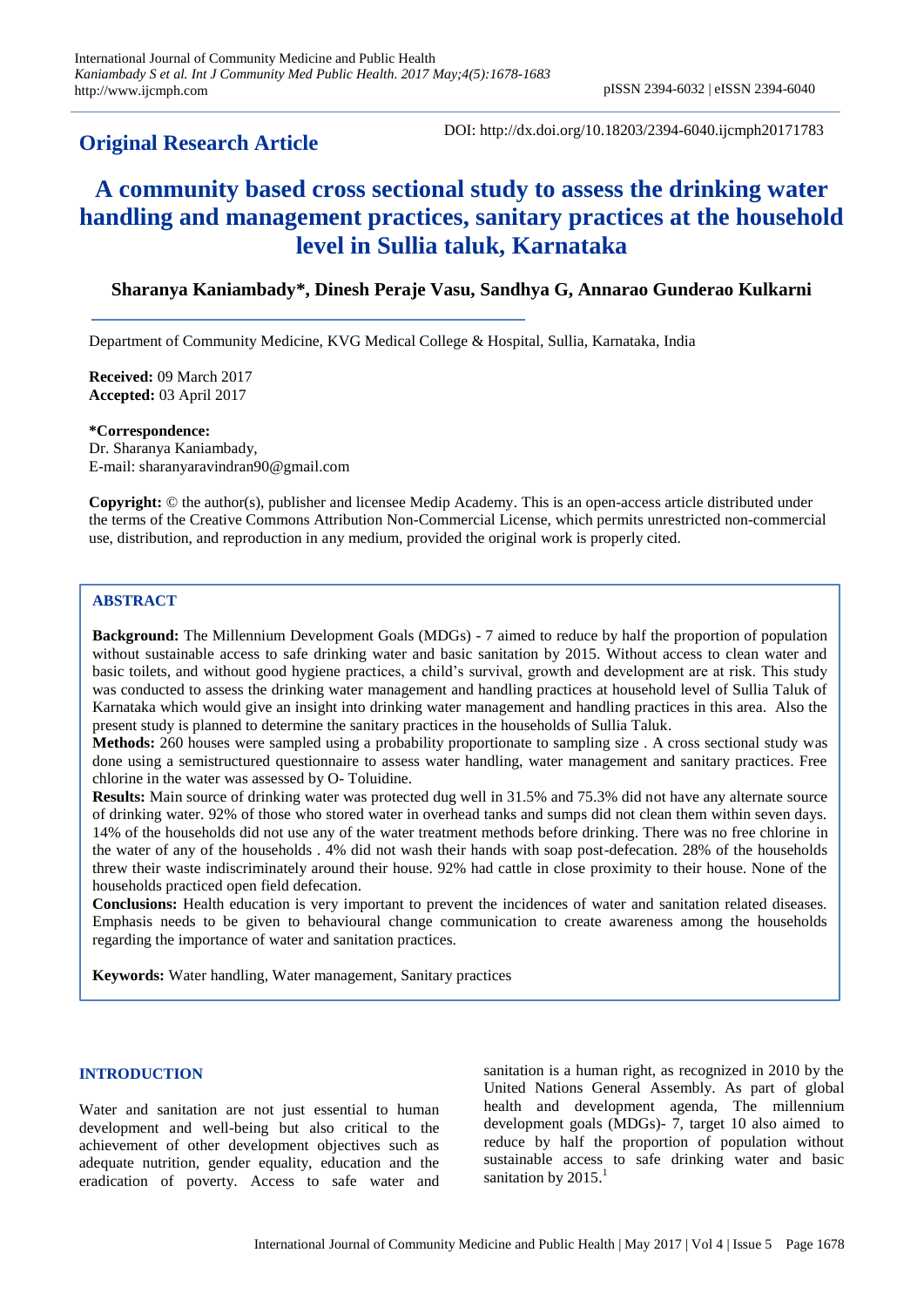## **Original Research Article**

DOI: http://dx.doi.org/10.18203/2394-6040.ijcmph20171783

# **A community based cross sectional study to assess the drinking water handling and management practices, sanitary practices at the household level in Sullia taluk, Karnataka**

## **Sharanya Kaniambady\*, Dinesh Peraje Vasu, Sandhya G, Annarao Gunderao Kulkarni**

Department of Community Medicine, KVG Medical College & Hospital, Sullia, Karnataka, India

**Received:** 09 March 2017 **Accepted:** 03 April 2017

**\*Correspondence:** Dr. Sharanya Kaniambady, E-mail: sharanyaravindran90@gmail.com

**Copyright:** © the author(s), publisher and licensee Medip Academy. This is an open-access article distributed under the terms of the Creative Commons Attribution Non-Commercial License, which permits unrestricted non-commercial use, distribution, and reproduction in any medium, provided the original work is properly cited.

### **ABSTRACT**

**Background:** The Millennium Development Goals (MDGs) - 7 aimed to reduce by half the proportion of population without sustainable access to safe drinking water and basic sanitation by 2015. Without access to clean water and basic toilets, and without good hygiene practices, a child's survival, growth and development are at risk. This study was conducted to assess the drinking water management and handling practices at household level of Sullia Taluk of Karnataka which would give an insight into drinking water management and handling practices in this area. Also the present study is planned to determine the sanitary practices in the households of Sullia Taluk.

**Methods:** 260 houses were sampled using a probability proportionate to sampling size . A cross sectional study was done using a semistructured questionnaire to assess water handling, water management and sanitary practices. Free chlorine in the water was assessed by O- Toluidine.

**Results:** Main source of drinking water was protected dug well in 31.5% and 75.3% did not have any alternate source of drinking water. 92% of those who stored water in overhead tanks and sumps did not clean them within seven days. 14% of the households did not use any of the water treatment methods before drinking. There was no free chlorine in the water of any of the households . 4% did not wash their hands with soap post-defecation. 28% of the households threw their waste indiscriminately around their house. 92% had cattle in close proximity to their house. None of the households practiced open field defecation.

**Conclusions:** Health education is very important to prevent the incidences of water and sanitation related diseases. Emphasis needs to be given to behavioural change communication to create awareness among the households regarding the importance of water and sanitation practices.

**Keywords:** Water handling, Water management, Sanitary practices

#### **INTRODUCTION**

Water and sanitation are not just essential to human development and well-being but also critical to the achievement of other development objectives such as adequate nutrition, gender equality, education and the eradication of poverty. Access to safe water and sanitation is a human right, as recognized in 2010 by the United Nations General Assembly. As part of global health and development agenda, The millennium development goals (MDGs)- 7, target 10 also aimed to reduce by half the proportion of population without sustainable access to safe drinking water and basic sanitation by 2015.<sup>1</sup>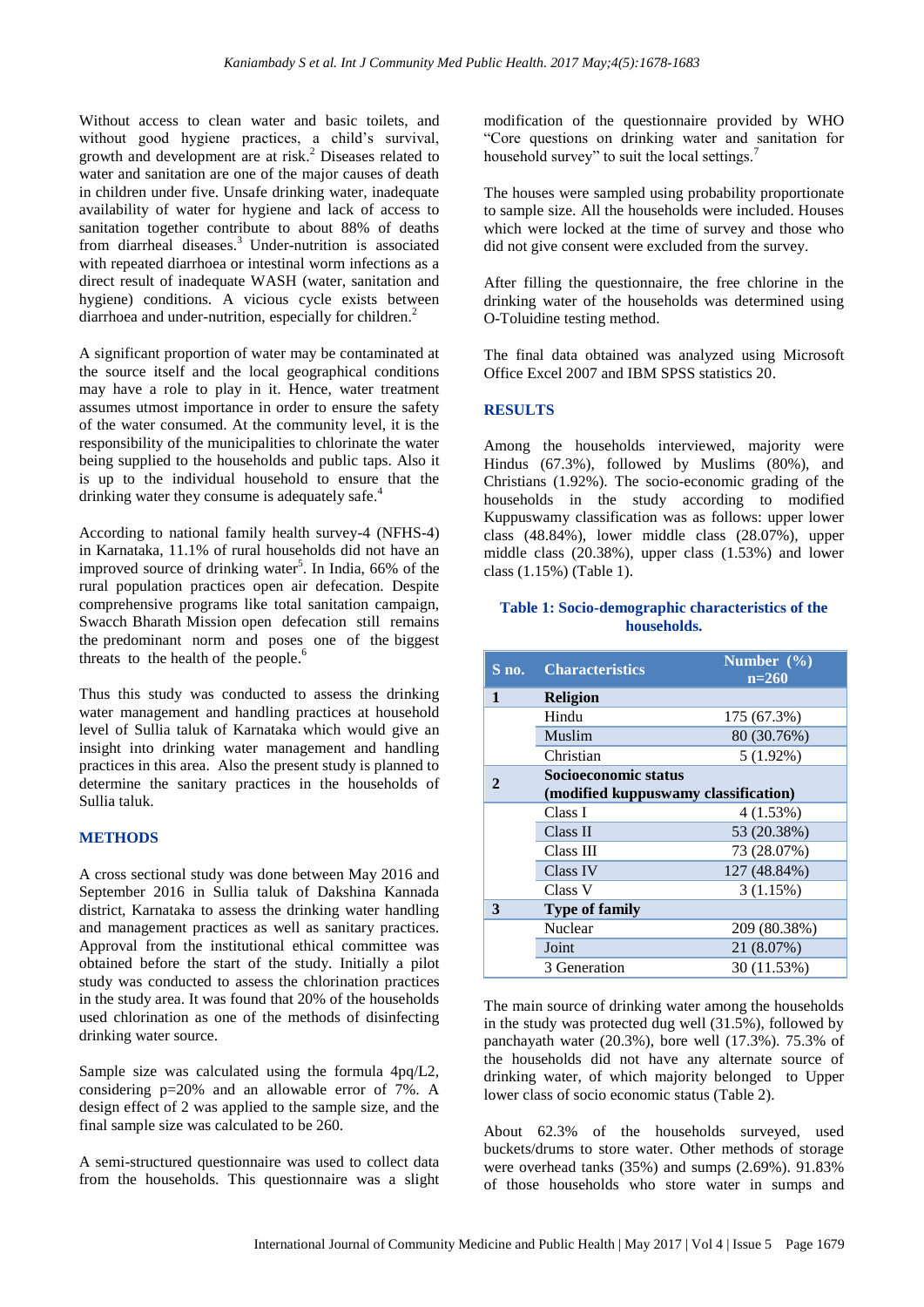Without access to clean water and basic toilets, and without good hygiene practices, a child's survival, growth and development are at risk. <sup>2</sup> Diseases related to water and sanitation are one of the major causes of death in children under five. Unsafe drinking water, inadequate availability of water for hygiene and lack of access to sanitation together contribute to about 88% of deaths from diarrheal diseases.<sup>3</sup> Under-nutrition is associated with repeated diarrhoea or intestinal worm infections as a direct result of inadequate WASH (water, sanitation and hygiene) conditions. A vicious cycle exists between diarrhoea and under-nutrition, especially for children. 2

A significant proportion of water may be contaminated at the source itself and the local geographical conditions may have a role to play in it. Hence, water treatment assumes utmost importance in order to ensure the safety of the water consumed. At the community level, it is the responsibility of the municipalities to chlorinate the water being supplied to the households and public taps. Also it is up to the individual household to ensure that the drinking water they consume is adequately safe.<sup>4</sup>

According to national family health survey-4 (NFHS-4) in Karnataka, 11.1% of rural households did not have an improved source of drinking water<sup>5</sup>. In India, 66% of the rural population practices open air defecation. Despite comprehensive programs like total sanitation campaign, Swacch Bharath Mission open defecation still remains the predominant norm and poses one of the biggest threats to the health of the people.<sup>6</sup>

Thus this study was conducted to assess the drinking water management and handling practices at household level of Sullia taluk of Karnataka which would give an insight into drinking water management and handling practices in this area. Also the present study is planned to determine the sanitary practices in the households of Sullia taluk.

#### **METHODS**

A cross sectional study was done between May 2016 and September 2016 in Sullia taluk of Dakshina Kannada district, Karnataka to assess the drinking water handling and management practices as well as sanitary practices. Approval from the institutional ethical committee was obtained before the start of the study. Initially a pilot study was conducted to assess the chlorination practices in the study area. It was found that 20% of the households used chlorination as one of the methods of disinfecting drinking water source.

Sample size was calculated using the formula 4pq/L2, considering p=20% and an allowable error of 7%. A design effect of 2 was applied to the sample size, and the final sample size was calculated to be 260.

A semi-structured questionnaire was used to collect data from the households. This questionnaire was a slight modification of the questionnaire provided by WHO "Core questions on drinking water and sanitation for household survey" to suit the local settings.<sup>7</sup>

The houses were sampled using probability proportionate to sample size. All the households were included. Houses which were locked at the time of survey and those who did not give consent were excluded from the survey.

After filling the questionnaire, the free chlorine in the drinking water of the households was determined using O-Toluidine testing method.

The final data obtained was analyzed using Microsoft Office Excel 2007 and IBM SPSS statistics 20.

#### **RESULTS**

Among the households interviewed, majority were Hindus (67.3%), followed by Muslims (80%), and Christians (1.92%). The socio-economic grading of the households in the study according to modified Kuppuswamy classification was as follows: upper lower class (48.84%), lower middle class (28.07%), upper middle class (20.38%), upper class (1.53%) and lower class (1.15%) (Table 1).

#### **Table 1: Socio-demographic characteristics of the households.**

| S no.        | <b>Characteristics</b>               | Number $(\%)$<br>$n=260$ |  |  |
|--------------|--------------------------------------|--------------------------|--|--|
| 1            | <b>Religion</b>                      |                          |  |  |
|              | Hindu                                | 175 (67.3%)              |  |  |
|              | Muslim                               | 80 (30.76%)              |  |  |
|              | Christian                            | $5(1.92\%)$              |  |  |
| $\mathbf{2}$ | Socioeconomic status                 |                          |  |  |
|              | (modified kuppuswamy classification) |                          |  |  |
|              | Class I                              | 4(1.53%)                 |  |  |
|              | Class II                             | 53 (20.38%)              |  |  |
|              | Class III                            | 73 (28.07%)              |  |  |
|              | Class IV                             | 127 (48.84%)             |  |  |
|              | Class V                              | 3(1.15%)                 |  |  |
| 3            | <b>Type of family</b>                |                          |  |  |
|              | Nuclear                              | 209 (80.38%)             |  |  |
|              | Joint                                | 21 (8.07%)               |  |  |
|              | 3 Generation                         | 30 (11.53%)              |  |  |

The main source of drinking water among the households in the study was protected dug well (31.5%), followed by panchayath water (20.3%), bore well (17.3%). 75.3% of the households did not have any alternate source of drinking water, of which majority belonged to Upper lower class of socio economic status (Table 2).

About 62.3% of the households surveyed, used buckets/drums to store water. Other methods of storage were overhead tanks (35%) and sumps (2.69%). 91.83% of those households who store water in sumps and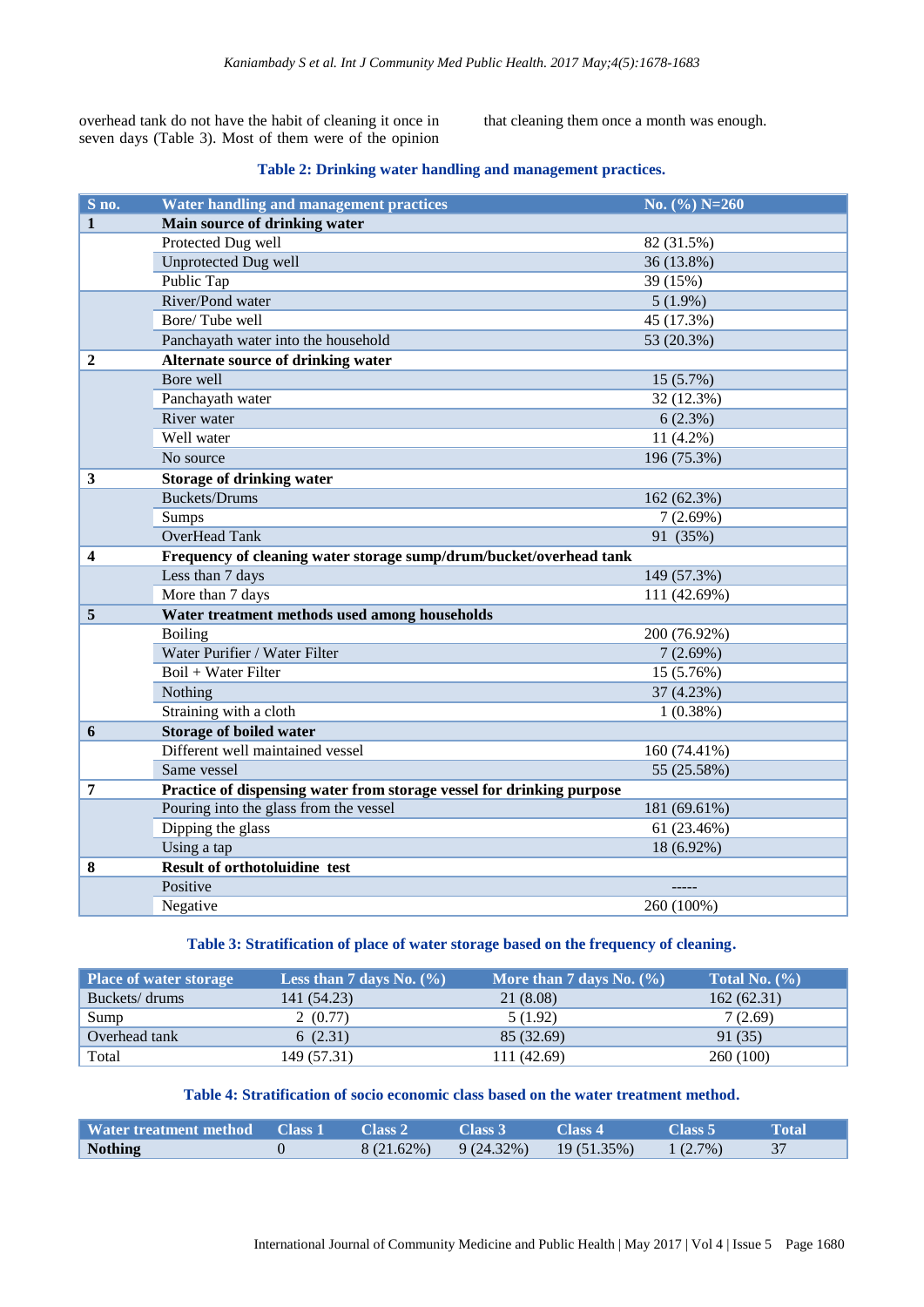overhead tank do not have the habit of cleaning it once in seven days (Table 3). Most of them were of the opinion that cleaning them once a month was enough.

#### **Table 2: Drinking water handling and management practices.**

| S no.        | <b>Water handling and management practices</b>                        | No. $(\%)$ N=260 |  |  |
|--------------|-----------------------------------------------------------------------|------------------|--|--|
| $\mathbf{1}$ | Main source of drinking water                                         |                  |  |  |
|              | Protected Dug well                                                    | 82 (31.5%)       |  |  |
|              | <b>Unprotected Dug well</b>                                           | 36 (13.8%)       |  |  |
|              | Public Tap                                                            | 39 (15%)         |  |  |
|              | River/Pond water                                                      | $5(1.9\%)$       |  |  |
|              | Bore/Tube well                                                        | 45 (17.3%)       |  |  |
|              | Panchayath water into the household                                   | 53 (20.3%)       |  |  |
| 2            | Alternate source of drinking water                                    |                  |  |  |
|              | Bore well                                                             | 15 (5.7%)        |  |  |
|              | Panchayath water                                                      | 32 (12.3%)       |  |  |
|              | River water                                                           | 6(2.3%)          |  |  |
|              | Well water                                                            | 11 (4.2%)        |  |  |
|              | No source                                                             | 196 (75.3%)      |  |  |
| 3            | <b>Storage of drinking water</b>                                      |                  |  |  |
|              | <b>Buckets/Drums</b>                                                  | 162 (62.3%)      |  |  |
|              | <b>Sumps</b>                                                          | 7(2.69%)         |  |  |
|              | OverHead Tank                                                         | 91 (35%)         |  |  |
| 4            | Frequency of cleaning water storage sump/drum/bucket/overhead tank    |                  |  |  |
|              | Less than 7 days                                                      | 149 (57.3%)      |  |  |
|              | More than 7 days                                                      | 111 (42.69%)     |  |  |
| 5            | Water treatment methods used among households                         |                  |  |  |
|              | <b>Boiling</b>                                                        | 200 (76.92%)     |  |  |
|              | Water Purifier / Water Filter                                         | 7(2.69%)         |  |  |
|              | Boil + Water Filter                                                   | 15 (5.76%)       |  |  |
|              | Nothing                                                               | 37 (4.23%)       |  |  |
|              | Straining with a cloth                                                | 1(0.38%)         |  |  |
| 6            | <b>Storage of boiled water</b>                                        |                  |  |  |
|              | Different well maintained vessel                                      | 160 (74.41%)     |  |  |
|              | Same vessel                                                           | 55 (25.58%)      |  |  |
| 7            | Practice of dispensing water from storage vessel for drinking purpose |                  |  |  |
|              | Pouring into the glass from the vessel                                | 181 (69.61%)     |  |  |
|              | Dipping the glass                                                     | 61 (23.46%)      |  |  |
|              | Using a tap                                                           | 18 (6.92%)       |  |  |
| 8            | <b>Result of orthotoluidine test</b>                                  |                  |  |  |
|              | Positive                                                              |                  |  |  |
|              | Negative                                                              | 260 (100%)       |  |  |

#### **Table 3: Stratification of place of water storage based on the frequency of cleaning.**

| <b>Place of water storage</b> | Less than 7 days No. $(\% )$ | More than 7 days No. $(\% )$ | Total No. $(\% )$ |
|-------------------------------|------------------------------|------------------------------|-------------------|
| Buckets/drums                 | 141 (54.23)                  | 21 (8.08)                    | 162(62.31)        |
| Sump                          | 2(0.77)                      | 5(1.92)                      | 7(2.69)           |
| Overhead tank                 | 6(2.31)                      | 85 (32.69)                   | 91 (35)           |
| Total                         | 149 (57.31)                  | 111 (42.69)                  | 260 (100)         |

## **Table 4: Stratification of socio economic class based on the water treatment method.**

| Water treatment method Class 1 | Class 2    | Class 3                    | Class 4 | $\chi$ Class 5 | Total |
|--------------------------------|------------|----------------------------|---------|----------------|-------|
| <b>Nothing</b>                 | 8 (21.62%) | $9(24.32\%)$ $19(51.35\%)$ |         | $1(2.7\%)$     |       |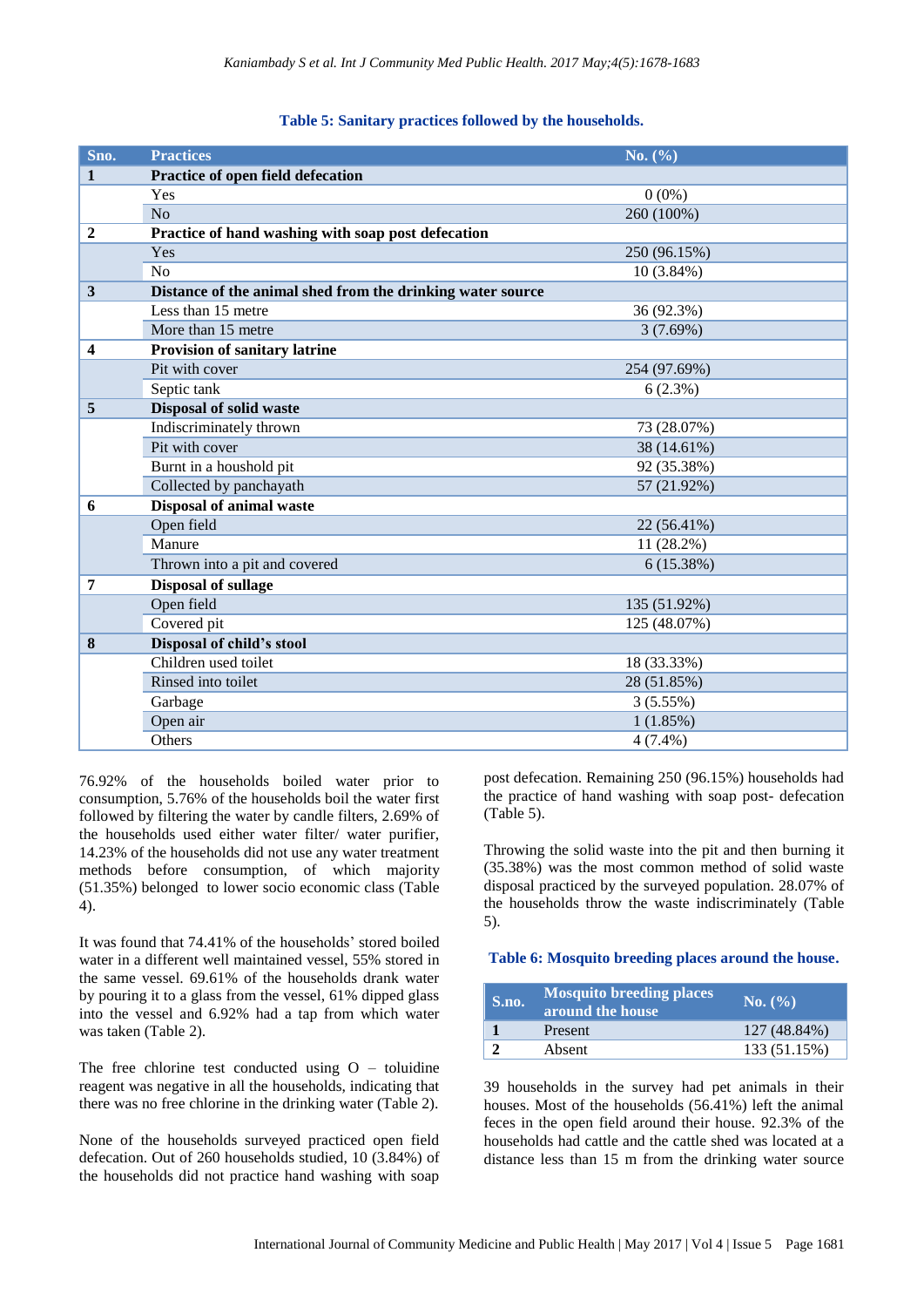| Table 5: Sanitary practices followed by the households. |  |  |  |  |
|---------------------------------------------------------|--|--|--|--|
|---------------------------------------------------------|--|--|--|--|

| Sno.             | <b>Practices</b>                                           | No. (%)      |
|------------------|------------------------------------------------------------|--------------|
| $\mathbf{1}$     | Practice of open field defecation                          |              |
|                  | Yes                                                        | $0(0\%)$     |
|                  | No                                                         | 260 (100%)   |
| $\boldsymbol{2}$ | Practice of hand washing with soap post defecation         |              |
|                  | Yes                                                        | 250 (96.15%) |
|                  | N <sub>o</sub>                                             | $10(3.84\%)$ |
| 3                | Distance of the animal shed from the drinking water source |              |
|                  | Less than 15 metre                                         | 36 (92.3%)   |
|                  | More than 15 metre                                         | 3(7.69%)     |
| 4                | Provision of sanitary latrine                              |              |
|                  | Pit with cover                                             | 254 (97.69%) |
|                  | Septic tank                                                | 6(2.3%)      |
| 5                | <b>Disposal of solid waste</b>                             |              |
|                  | Indiscriminately thrown                                    | 73 (28.07%)  |
|                  | Pit with cover                                             | 38 (14.61%)  |
|                  | Burnt in a houshold pit                                    | 92 (35.38%)  |
|                  | Collected by panchayath                                    | 57 (21.92%)  |
| 6                | <b>Disposal of animal waste</b>                            |              |
|                  | Open field                                                 | 22 (56.41%)  |
|                  | Manure                                                     | 11 (28.2%)   |
|                  | Thrown into a pit and covered                              | 6(15.38%)    |
| 7                | <b>Disposal of sullage</b>                                 |              |
|                  | Open field                                                 | 135 (51.92%) |
|                  | Covered pit                                                | 125 (48.07%) |
| 8                | Disposal of child's stool                                  |              |
|                  | Children used toilet                                       | 18 (33.33%)  |
|                  | Rinsed into toilet                                         | 28 (51.85%)  |
|                  | Garbage                                                    | 3(5.55%)     |
|                  | Open air                                                   | 1(1.85%)     |
|                  | Others                                                     | $4(7.4\%)$   |

76.92% of the households boiled water prior to consumption, 5.76% of the households boil the water first followed by filtering the water by candle filters, 2.69% of the households used either water filter/ water purifier, 14.23% of the households did not use any water treatment methods before consumption, of which majority (51.35%) belonged to lower socio economic class (Table 4).

It was found that 74.41% of the households' stored boiled water in a different well maintained vessel, 55% stored in the same vessel. 69.61% of the households drank water by pouring it to a glass from the vessel, 61% dipped glass into the vessel and 6.92% had a tap from which water was taken (Table 2).

The free chlorine test conducted using  $O -$  toluidine reagent was negative in all the households, indicating that there was no free chlorine in the drinking water (Table 2).

None of the households surveyed practiced open field defecation. Out of 260 households studied, 10 (3.84%) of the households did not practice hand washing with soap

post defecation. Remaining 250 (96.15%) households had the practice of hand washing with soap post- defecation (Table 5).

Throwing the solid waste into the pit and then burning it (35.38%) was the most common method of solid waste disposal practiced by the surveyed population. 28.07% of the households throw the waste indiscriminately (Table 5).

**Table 6: Mosquito breeding places around the house.**

| S.no. | <b>Mosquito breeding places</b><br>around the house | $\bf N0.$ (%) |
|-------|-----------------------------------------------------|---------------|
|       | Present                                             | 127 (48.84%)  |
|       | Absent                                              | 133 (51.15%)  |

39 households in the survey had pet animals in their houses. Most of the households (56.41%) left the animal feces in the open field around their house. 92.3% of the households had cattle and the cattle shed was located at a distance less than 15 m from the drinking water source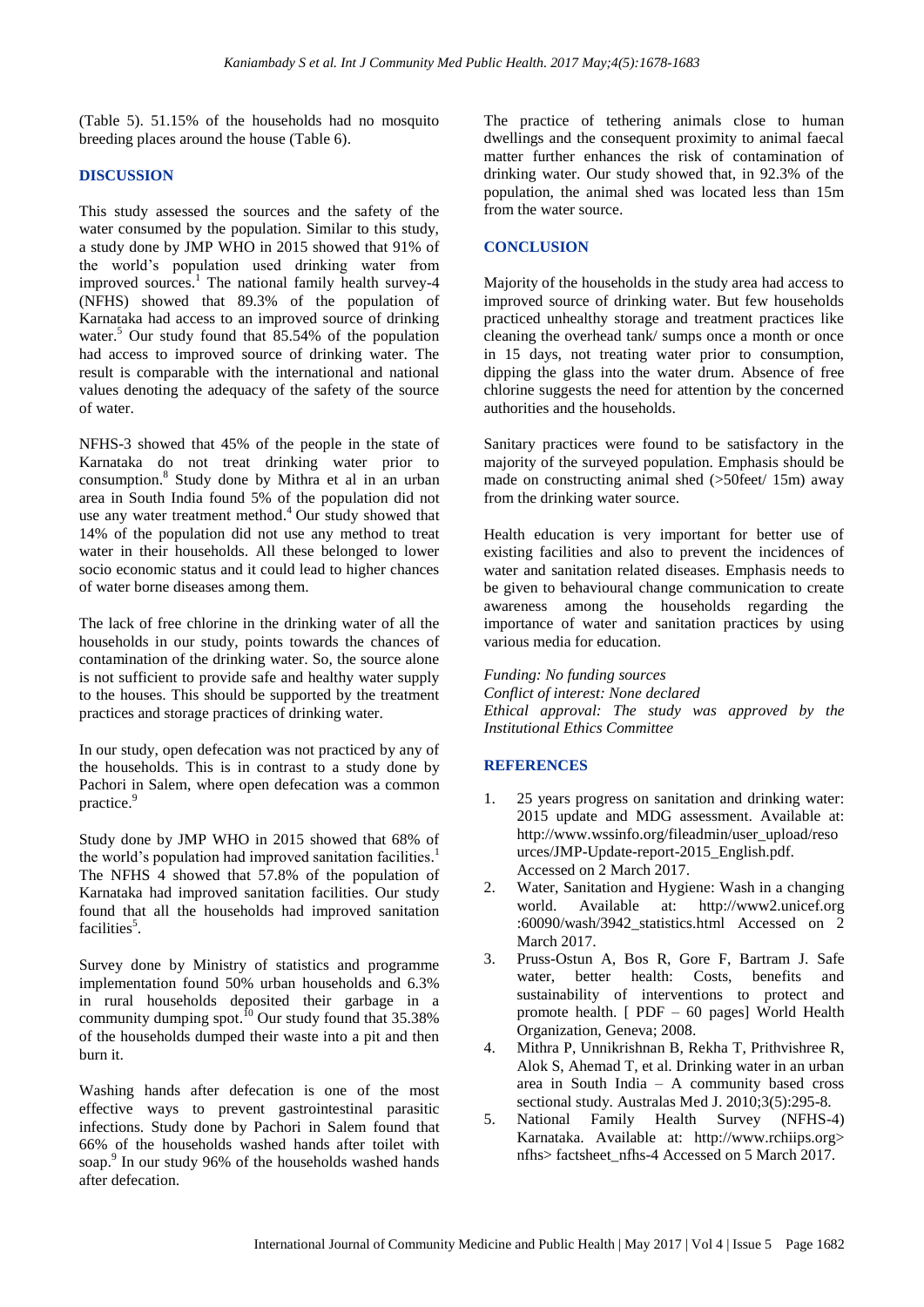(Table 5). 51.15% of the households had no mosquito breeding places around the house (Table 6).

#### **DISCUSSION**

This study assessed the sources and the safety of the water consumed by the population. Similar to this study, a study done by JMP WHO in 2015 showed that 91% of the world's population used drinking water from improved sources. <sup>1</sup> The national family health survey-4 (NFHS) showed that 89.3% of the population of Karnataka had access to an improved source of drinking water. <sup>5</sup> Our study found that 85.54% of the population had access to improved source of drinking water. The result is comparable with the international and national values denoting the adequacy of the safety of the source of water.

NFHS-3 showed that 45% of the people in the state of Karnataka do not treat drinking water prior to consumption. 8 Study done by Mithra et al in an urban area in South India found 5% of the population did not use any water treatment method.<sup>4</sup> Our study showed that 14% of the population did not use any method to treat water in their households. All these belonged to lower socio economic status and it could lead to higher chances of water borne diseases among them.

The lack of free chlorine in the drinking water of all the households in our study, points towards the chances of contamination of the drinking water. So, the source alone is not sufficient to provide safe and healthy water supply to the houses. This should be supported by the treatment practices and storage practices of drinking water.

In our study, open defecation was not practiced by any of the households. This is in contrast to a study done by Pachori in Salem, where open defecation was a common practice. 9

Study done by JMP WHO in 2015 showed that 68% of the world's population had improved sanitation facilities.<sup>1</sup> The NFHS 4 showed that 57.8% of the population of Karnataka had improved sanitation facilities. Our study found that all the households had improved sanitation facilities<sup>5</sup>.

Survey done by Ministry of statistics and programme implementation found 50% urban households and 6.3% in rural households deposited their garbage in a community dumping spot.<sup>10</sup> Our study found that  $35.38\%$ of the households dumped their waste into a pit and then burn it.

Washing hands after defecation is one of the most effective ways to prevent gastrointestinal parasitic infections. Study done by Pachori in Salem found that 66% of the households washed hands after toilet with soap. 9 In our study 96% of the households washed hands after defecation.

The practice of tethering animals close to human dwellings and the consequent proximity to animal faecal matter further enhances the risk of contamination of drinking water. Our study showed that, in 92.3% of the population, the animal shed was located less than 15m from the water source.

#### **CONCLUSION**

Majority of the households in the study area had access to improved source of drinking water. But few households practiced unhealthy storage and treatment practices like cleaning the overhead tank/ sumps once a month or once in 15 days, not treating water prior to consumption, dipping the glass into the water drum. Absence of free chlorine suggests the need for attention by the concerned authorities and the households.

Sanitary practices were found to be satisfactory in the majority of the surveyed population. Emphasis should be made on constructing animal shed (>50feet/ 15m) away from the drinking water source.

Health education is very important for better use of existing facilities and also to prevent the incidences of water and sanitation related diseases. Emphasis needs to be given to behavioural change communication to create awareness among the households regarding the importance of water and sanitation practices by using various media for education.

*Funding: No funding sources*

*Conflict of interest: None declared Ethical approval: The study was approved by the Institutional Ethics Committee*

#### **REFERENCES**

- 1. 25 years progress on sanitation and drinking water: 2015 update and MDG assessment. Available at: http://www.wssinfo.org/fileadmin/user\_upload/reso urces/JMP-Update-report-2015\_English.pdf. Accessed on 2 March 2017.
- 2. Water, Sanitation and Hygiene: Wash in a changing world. Available at: http://www2.unicef.org :60090/wash/3942\_statistics.html Accessed on 2 March 2017.
- 3. Pruss-Ostun A, Bos R, Gore F, Bartram J. Safe water, better health: Costs, benefits and sustainability of interventions to protect and promote health. [ PDF – 60 pages] World Health Organization, Geneva; 2008.
- 4. Mithra P, Unnikrishnan B, Rekha T, Prithvishree R, Alok S, Ahemad T, et al. Drinking water in an urban area in South India – A community based cross sectional study. Australas Med J. 2010;3(5):295-8.
- 5. National Family Health Survey (NFHS-4) Karnataka. Available at: http://www.rchiips.org> nfhs> factsheet\_nfhs-4 Accessed on 5 March 2017.